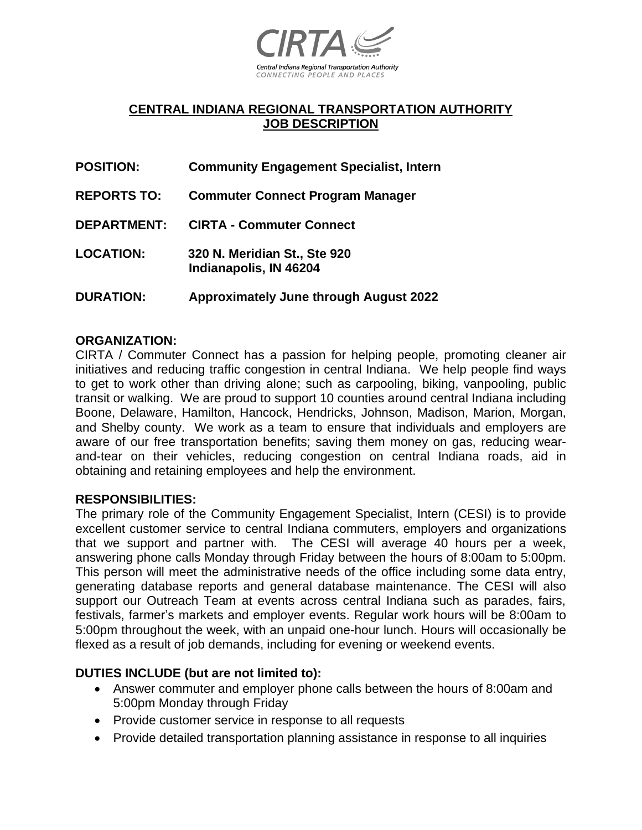

# **CENTRAL INDIANA REGIONAL TRANSPORTATION AUTHORITY JOB DESCRIPTION**

- **POSITION: Community Engagement Specialist, Intern**
- **REPORTS TO: Commuter Connect Program Manager**
- **DEPARTMENT: CIRTA - Commuter Connect**
- **LOCATION: 320 N. Meridian St., Ste 920 Indianapolis, IN 46204**
- **DURATION: Approximately June through August 2022**

### **ORGANIZATION:**

CIRTA / Commuter Connect has a passion for helping people, promoting cleaner air initiatives and reducing traffic congestion in central Indiana. We help people find ways to get to work other than driving alone; such as carpooling, biking, vanpooling, public transit or walking. We are proud to support 10 counties around central Indiana including Boone, Delaware, Hamilton, Hancock, Hendricks, Johnson, Madison, Marion, Morgan, and Shelby county. We work as a team to ensure that individuals and employers are aware of our free transportation benefits; saving them money on gas, reducing wearand-tear on their vehicles, reducing congestion on central Indiana roads, aid in obtaining and retaining employees and help the environment.

#### **RESPONSIBILITIES:**

The primary role of the Community Engagement Specialist, Intern (CESI) is to provide excellent customer service to central Indiana commuters, employers and organizations that we support and partner with. The CESI will average 40 hours per a week, answering phone calls Monday through Friday between the hours of 8:00am to 5:00pm. This person will meet the administrative needs of the office including some data entry, generating database reports and general database maintenance. The CESI will also support our Outreach Team at events across central Indiana such as parades, fairs, festivals, farmer's markets and employer events. Regular work hours will be 8:00am to 5:00pm throughout the week, with an unpaid one-hour lunch. Hours will occasionally be flexed as a result of job demands, including for evening or weekend events.

#### **DUTIES INCLUDE (but are not limited to):**

- Answer commuter and employer phone calls between the hours of 8:00am and 5:00pm Monday through Friday
- Provide customer service in response to all requests
- Provide detailed transportation planning assistance in response to all inquiries